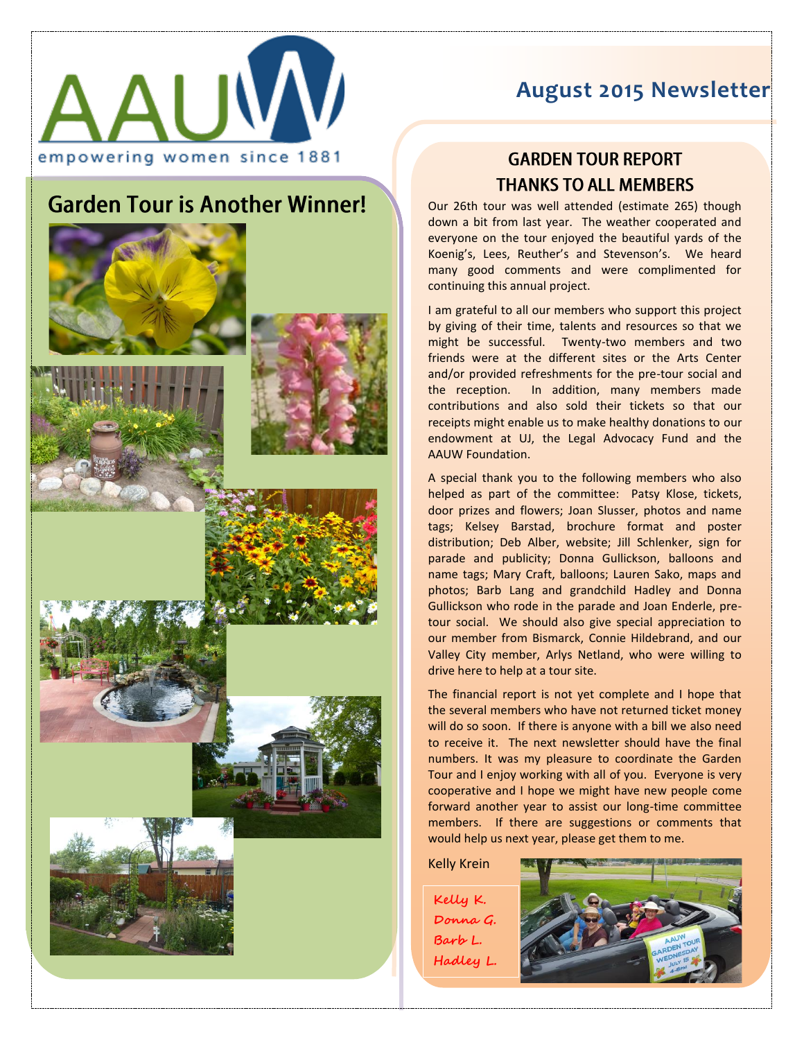

## **August 2015 Newsletter**

## **Garden Tour is Another Winner!**









## **GARDEN TOUR REPORT THANKS TO ALL MEMBERS**

Our 26th tour was well attended (estimate 265) though down a bit from last year. The weather cooperated and everyone on the tour enjoyed the beautiful yards of the Koenig 's, Lees, Reuther's and Stevenson 's. We heard many good comments and were complimented for continuing this annual project.

I am grateful to all our members who support this project by giving of their time, talents and resources so that we might be successful. Twenty -two members and two friends were at the different sites or the Arts Center and/or provided refreshments for the pre -tour social and the reception. In addition, many members made contributions and also sold their tickets so that our receipts might enable us to make healthy donations to our endowment at UJ, the Legal Advocacy Fund and the AAUW Foundation.

 A special thank you to the following members who also helped as part of the committee: Patsy Klose, tickets, door prizes and flowers; Joan Slusser, photos and name tags; Kelsey Barstad, brochure format and poster distribution; Deb Alber, website; Jill Schlenker, sign for parade and publicity; Donna Gullickson, balloons and name tags; Mary Craft, balloons; Lauren Sako, maps and photos; Barb Lang and grandchild Hadley and Donna Gullickson who rode in the parade and Joan Enderle, pre tour social. We should also give special appreciation to our member from Bismarck, Connie Hildebrand, and our Valley City member, Arlys Netland, who were willing to drive here to help at a tour site.

The financial report is not yet complete and I hope that the several members who have not returned ticket money will do so soon. If there is anyone with a bill we also need to receive it. The next newsletter should have the final numbers. It was my pleasure to coordinate the Garden Tour and I enjoy working with all of you. Everyone is very cooperative and I hope we might have new people come forward another year to assist our long -time committee members. If there are suggestions or comments that would help us next year, please get them to me.

Kelly Krein

**Kelly K . Donna G . Barb L . Hadley L.**